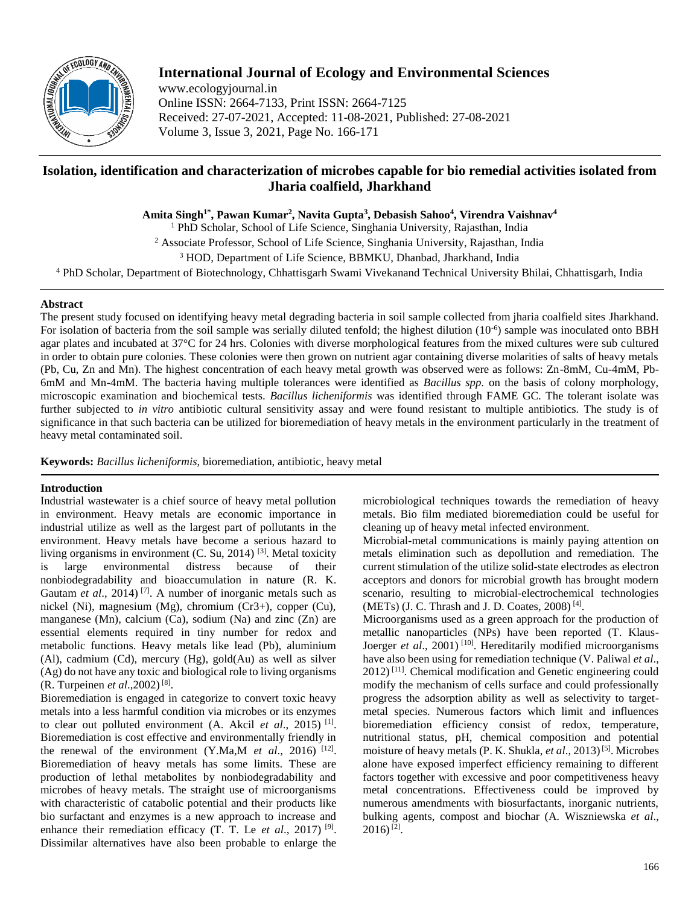

# **International Journal of Ecology and Environmental Sciences**

www.ecologyjournal.in Online ISSN: 2664-7133, Print ISSN: 2664-7125 Received: 27-07-2021, Accepted: 11-08-2021, Published: 27-08-2021 Volume 3, Issue 3, 2021, Page No. 166-171

# **Isolation, identification and characterization of microbes capable for bio remedial activities isolated from Jharia coalfield, Jharkhand**

**Amita Singh1\*, Pawan Kumar<sup>2</sup> , Navita Gupta<sup>3</sup> , Debasish Sahoo<sup>4</sup> , Virendra Vaishnav<sup>4</sup>**

<sup>1</sup> PhD Scholar, School of Life Science, Singhania University, Rajasthan, India

<sup>2</sup> Associate Professor, School of Life Science, Singhania University, Rajasthan, India

<sup>3</sup> HOD, Department of Life Science, BBMKU, Dhanbad, Jharkhand, India

<sup>4</sup> PhD Scholar, Department of Biotechnology, Chhattisgarh Swami Vivekanand Technical University Bhilai, Chhattisgarh, India

# **Abstract**

The present study focused on identifying heavy metal degrading bacteria in soil sample collected from jharia coalfield sites Jharkhand. For isolation of bacteria from the soil sample was serially diluted tenfold; the highest dilution  $(10^{-6})$  sample was inoculated onto BBH agar plates and incubated at 37°C for 24 hrs. Colonies with diverse morphological features from the mixed cultures were sub cultured in order to obtain pure colonies. These colonies were then grown on nutrient agar containing diverse molarities of salts of heavy metals (Pb, Cu, Zn and Mn). The highest concentration of each heavy metal growth was observed were as follows: Zn-8mM, Cu-4mM, Pb-6mM and Mn-4mM. The bacteria having multiple tolerances were identified as *Bacillus spp.* on the basis of colony morphology, microscopic examination and biochemical tests. *Bacillus licheniformis* was identified through FAME GC. The tolerant isolate was further subjected to *in vitro* antibiotic cultural sensitivity assay and were found resistant to multiple antibiotics. The study is of significance in that such bacteria can be utilized for bioremediation of heavy metals in the environment particularly in the treatment of heavy metal contaminated soil.

**Keywords:** *Bacillus licheniformis,* bioremediation, antibiotic, heavy metal

# **Introduction**

Industrial wastewater is a chief source of heavy metal pollution in environment. Heavy metals are economic importance in industrial utilize as well as the largest part of pollutants in the environment. Heavy metals have become a serious hazard to living organisms in environment (C. Su, 2014)<sup>[3]</sup>. Metal toxicity is large environmental distress because of their nonbiodegradability and bioaccumulation in nature (R. K. Gautam *et al.*, 2014)<sup>[7]</sup>. A number of inorganic metals such as nickel (Ni), magnesium (Mg), chromium (Cr3+), copper (Cu), manganese (Mn), calcium (Ca), sodium (Na) and zinc (Zn) are essential elements required in tiny number for redox and metabolic functions. Heavy metals like lead (Pb), aluminium (Al), cadmium (Cd), mercury (Hg), gold(Au) as well as silver (Ag) do not have any toxic and biological role to living organisms (R. Turpeinen *et al*.,2002) [8] .

Bioremediation is engaged in categorize to convert toxic heavy metals into a less harmful condition via microbes or its enzymes to clear out polluted environment (A. Akcil *et al*., 2015) [1] . Bioremediation is cost effective and environmentally friendly in the renewal of the environment  $(Y.Ma, M \text{ et } al., 2016)$ <sup>[12]</sup>. Bioremediation of heavy metals has some limits. These are production of lethal metabolites by nonbiodegradability and microbes of heavy metals. The straight use of microorganisms with characteristic of catabolic potential and their products like bio surfactant and enzymes is a new approach to increase and enhance their remediation efficacy (T. T. Le *et al.*, 2017)<sup>[9]</sup>. Dissimilar alternatives have also been probable to enlarge the microbiological techniques towards the remediation of heavy metals. Bio film mediated bioremediation could be useful for cleaning up of heavy metal infected environment.

Microbial-metal communications is mainly paying attention on metals elimination such as depollution and remediation. The current stimulation of the utilize solid-state electrodes as electron acceptors and donors for microbial growth has brought modern scenario, resulting to microbial-electrochemical technologies (METs) (J. C. Thrash and J. D. Coates,  $2008$ )<sup>[4]</sup>.

Microorganisms used as a green approach for the production of metallic nanoparticles (NPs) have been reported (T. Klaus-Joerger et al., 2001)<sup>[10]</sup>. Hereditarily modified microorganisms have also been using for remediation technique (V. Paliwal *et al*., 2012) [11] . Chemical modification and Genetic engineering could modify the mechanism of cells surface and could professionally progress the adsorption ability as well as selectivity to targetmetal species. Numerous factors which limit and influences bioremediation efficiency consist of redox, temperature, nutritional status, pH, chemical composition and potential moisture of heavy metals (P. K. Shukla, et al., 2013)<sup>[5]</sup>. Microbes alone have exposed imperfect efficiency remaining to different factors together with excessive and poor competitiveness heavy metal concentrations. Effectiveness could be improved by numerous amendments with biosurfactants, inorganic nutrients, bulking agents, compost and biochar (A. Wiszniewska *et al*.,  $2016$ <sup>[2]</sup>.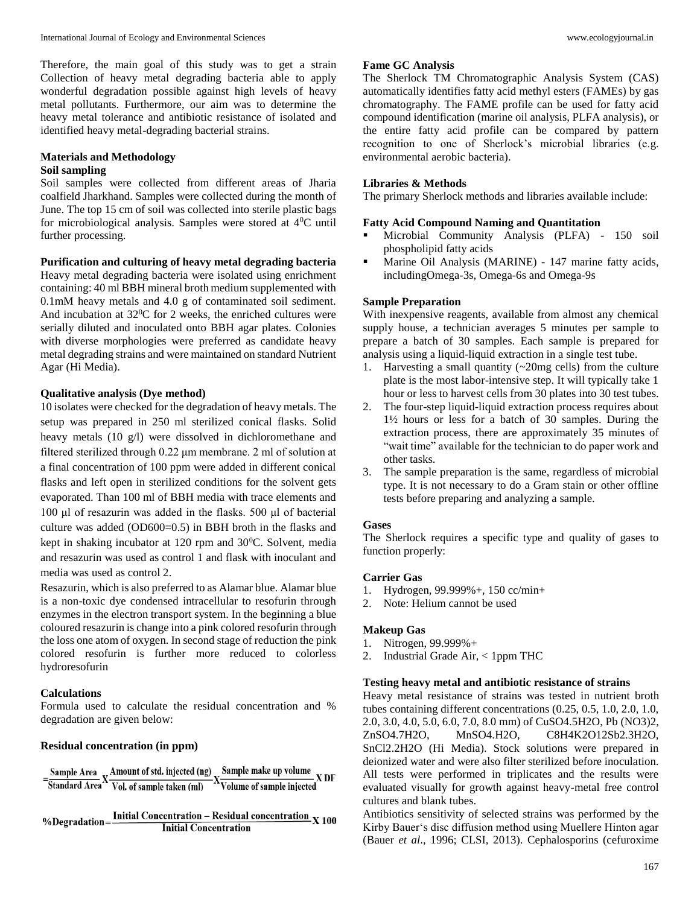Therefore, the main goal of this study was to get a strain Collection of heavy metal degrading bacteria able to apply wonderful degradation possible against high levels of heavy metal pollutants. Furthermore, our aim was to determine the heavy metal tolerance and antibiotic resistance of isolated and identified heavy metal-degrading bacterial strains.

# **Materials and Methodology**

# **Soil sampling**

Soil samples were collected from different areas of Jharia coalfield Jharkhand. Samples were collected during the month of June. The top 15 cm of soil was collected into sterile plastic bags for microbiological analysis. Samples were stored at  $4^{\circ}$ C until further processing.

**Purification and culturing of heavy metal degrading bacteria**

Heavy metal degrading bacteria were isolated using enrichment containing: 40 ml BBH mineral broth medium supplemented with 0.1mM heavy metals and 4.0 g of contaminated soil sediment. And incubation at  $32^0C$  for 2 weeks, the enriched cultures were serially diluted and inoculated onto BBH agar plates. Colonies with diverse morphologies were preferred as candidate heavy metal degrading strains and were maintained on standard Nutrient Agar (Hi Media).

### **Qualitative analysis (Dye method)**

10 isolates were checked for the degradation of heavy metals. The setup was prepared in 250 ml sterilized conical flasks. Solid heavy metals (10 g/l) were dissolved in dichloromethane and filtered sterilized through 0.22 μm membrane. 2 ml of solution at a final concentration of 100 ppm were added in different conical flasks and left open in sterilized conditions for the solvent gets evaporated. Than 100 ml of BBH media with trace elements and 100 μl of resazurin was added in the flasks. 500 μl of bacterial culture was added (OD600=0.5) in BBH broth in the flasks and kept in shaking incubator at  $120$  rpm and  $30^{\circ}$ C. Solvent, media and resazurin was used as control 1 and flask with inoculant and media was used as control 2.

Resazurin, which is also preferred to as Alamar blue. Alamar blue is a non-toxic dye condensed intracellular to resofurin through enzymes in the electron transport system. In the beginning a blue coloured resazurin is change into a pink colored resofurin through the loss one atom of oxygen. In second stage of reduction the pink colored resofurin is further more reduced to colorless hydroresofurin

### **Calculations**

Formula used to calculate the residual concentration and % degradation are given below:

### **Residual concentration (in ppm)**

= Sample Area X Amount of std. injected (ng) X Sample make up volume<br>Standard Area X Vol. of sample taken (ml) X Volume of sample injected

%Degradation= $\frac{\text{Initial concentration} - \text{Residual concentration}}{\text{Initial Conservation}} \times 100$ **Initial Concentration** 

# **Fame GC Analysis**

The Sherlock TM Chromatographic Analysis System (CAS) automatically identifies fatty acid methyl esters (FAMEs) by gas chromatography. The FAME profile can be used for fatty acid compound identification (marine oil analysis, PLFA analysis), or the entire fatty acid profile can be compared by pattern recognition to one of Sherlock's microbial libraries (e.g. environmental aerobic bacteria).

### **Libraries & Methods**

The primary Sherlock methods and libraries available include:

### **Fatty Acid Compound Naming and Quantitation**

- Microbial Community Analysis (PLFA) 150 soil phospholipid fatty acids
- Marine Oil Analysis (MARINE) 147 marine fatty acids, includingOmega-3s, Omega-6s and Omega-9s

### **Sample Preparation**

With inexpensive reagents, available from almost any chemical supply house, a technician averages 5 minutes per sample to prepare a batch of 30 samples. Each sample is prepared for analysis using a liquid-liquid extraction in a single test tube.

- 1. Harvesting a small quantity (~20mg cells) from the culture plate is the most labor-intensive step. It will typically take 1 hour or less to harvest cells from 30 plates into 30 test tubes.
- 2. The four-step liquid-liquid extraction process requires about 1½ hours or less for a batch of 30 samples. During the extraction process, there are approximately 35 minutes of "wait time" available for the technician to do paper work and other tasks.
- 3. The sample preparation is the same, regardless of microbial type. It is not necessary to do a Gram stain or other offline tests before preparing and analyzing a sample.

#### **Gases**

The Sherlock requires a specific type and quality of gases to function properly:

### **Carrier Gas**

- 1. Hydrogen, 99.999%+, 150 cc/min+
- 2. Note: Helium cannot be used

### **Makeup Gas**

- 1. Nitrogen, 99.999%+
- 2. Industrial Grade Air, < 1ppm THC

### **Testing heavy metal and antibiotic resistance of strains**

Heavy metal resistance of strains was tested in nutrient broth tubes containing different concentrations (0.25, 0.5, 1.0, 2.0, 1.0, 2.0, 3.0, 4.0, 5.0, 6.0, 7.0, 8.0 mm) of CuSO4.5H2O, Pb (NO3)2, ZnSO4.7H2O, MnSO4.H2O, C8H4K2O12Sb2.3H2O, SnCl2.2H2O (Hi Media). Stock solutions were prepared in deionized water and were also filter sterilized before inoculation. All tests were performed in triplicates and the results were evaluated visually for growth against heavy-metal free control cultures and blank tubes.

Antibiotics sensitivity of selected strains was performed by the Kirby Bauer's disc diffusion method using Muellere Hinton agar (Bauer *et al*., 1996; CLSI, 2013). Cephalosporins (cefuroxime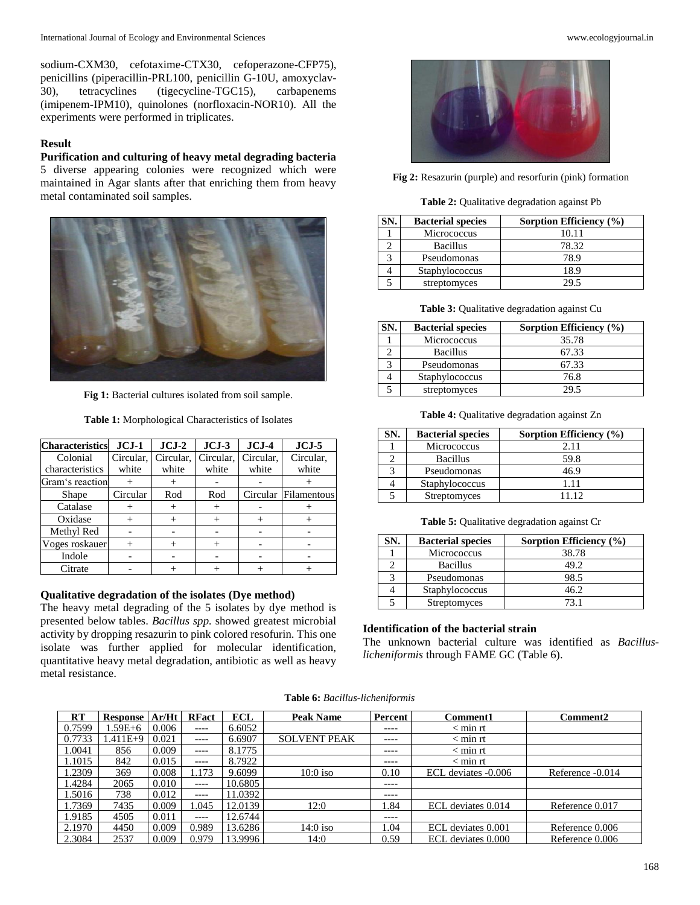sodium-CXM30, cefotaxime-CTX30, cefoperazone-CFP75), penicillins (piperacillin-PRL100, penicillin G-10U, amoxyclav-30), tetracyclines (tigecycline-TGC15), carbapenems (imipenem-IPM10), quinolones (norfloxacin-NOR10). All the experiments were performed in triplicates.

# **Result**

**Purification and culturing of heavy metal degrading bacteria** 5 diverse appearing colonies were recognized which were maintained in Agar slants after that enriching them from heavy metal contaminated soil samples.



**Fig 1:** Bacterial cultures isolated from soil sample.

**Table 1:** Morphological Characteristics of Isolates

| <b>Characteristics</b> | $JCJ-1$   | $JCJ-2$   | $JCJ-3$   | $JCJ-4$   | $JCJ-5$     |
|------------------------|-----------|-----------|-----------|-----------|-------------|
| Colonial               | Circular. | Circular. | Circular. | Circular. | Circular.   |
| characteristics        | white     | white     | white     | white     | white       |
| Gram's reaction        |           |           |           |           |             |
| Shape                  | Circular  | Rod       | Rod       | Circular  | Filamentous |
| Catalase               |           |           | $^{+}$    |           |             |
| Oxidase                |           |           |           |           |             |
| Methyl Red             |           |           |           |           |             |
| Voges roskauer         | $^{+}$    |           |           |           |             |
| Indole                 |           |           |           |           |             |
| Citrate                |           |           |           |           |             |

### **Qualitative degradation of the isolates (Dye method)**

The heavy metal degrading of the 5 isolates by dye method is presented below tables. *Bacillus spp.* showed greatest microbial activity by dropping resazurin to pink colored resofurin. This one isolate was further applied for molecular identification, quantitative heavy metal degradation, antibiotic as well as heavy metal resistance.



**Fig 2:** Resazurin (purple) and resorfurin (pink) formation

**Table 2:** Qualitative degradation against Pb

| SN. | <b>Bacterial species</b> | Sorption Efficiency (%) |
|-----|--------------------------|-------------------------|
|     | Micrococcus              | 10.11                   |
|     | <b>Bacillus</b>          | 78.32                   |
|     | Pseudomonas              | 78.9                    |
|     | Staphylococcus           | 18.9                    |
|     | streptomyces             | 29.5                    |

**Table 3:** Qualitative degradation against Cu

| SN. | <b>Bacterial species</b> | Sorption Efficiency (%) |
|-----|--------------------------|-------------------------|
|     | Micrococcus              | 35.78                   |
|     | <b>Bacillus</b>          | 67.33                   |
|     | Pseudomonas              | 67.33                   |
|     | Staphylococcus           | 76.8                    |
|     | streptomyces             | 20 S                    |

**Table 4:** Qualitative degradation against Zn

| šN. | <b>Bacterial species</b> | Sorption Efficiency (%) |
|-----|--------------------------|-------------------------|
|     | Micrococcus              | 2.11                    |
|     | <b>Bacillus</b>          | 59.8                    |
|     | Pseudomonas              | 46.9                    |
|     | Staphylococcus           | 1.11                    |
|     | <b>Streptomyces</b>      | 11 12                   |

**Table 5:** Qualitative degradation against Cr

| N. | <b>Bacterial species</b> | Sorption Efficiency (%) |
|----|--------------------------|-------------------------|
|    | Micrococcus              | 38.78                   |
|    | <b>Bacillus</b>          | 49.2                    |
|    | Pseudomonas              | 98.5                    |
|    | Staphylococcus           | 46.2                    |
|    | <b>Streptomyces</b>      | 73 1                    |

# **Identification of the bacterial strain**

The unknown bacterial culture was identified as *Bacilluslicheniformis* through FAME GC (Table 6).

|  | <b>Table 6:</b> Bacillus-licheniformis |  |  |
|--|----------------------------------------|--|--|
|--|----------------------------------------|--|--|

| RT     | <b>Response</b> | Ar/Ht | <b>RFact</b> | <b>ECL</b> | Peak Name           | Percent   | <b>Comment1</b>     | <b>Comment2</b>  |
|--------|-----------------|-------|--------------|------------|---------------------|-----------|---------------------|------------------|
| 0.7599 | $1.59E + 6$     | 0.006 | $---$        | 6.6052     |                     | $- - - -$ | $<$ min rt          |                  |
| 0.7733 | $.411E+9$       | 0.021 | $---$        | 6.6907     | <b>SOLVENT PEAK</b> | $- - - -$ | $<$ min rt          |                  |
| 1.0041 | 856             | 0.009 | $---$        | 8.1775     |                     | $---$     | $<$ min rt          |                  |
| .1015  | 842             | 0.015 | $---$        | 8.7922     |                     | $---$     | $<$ min rt          |                  |
| .2309  | 369             | 0.008 | .173         | 9.6099     | $10:0$ iso          | 0.10      | ECL deviates -0.006 | Reference -0.014 |
| .4284  | 2065            | 0.010 | $---$        | 10.6805    |                     | $---$     |                     |                  |
| .5016  | 738             | 0.012 | $---$        | 11.0392    |                     | $---$     |                     |                  |
| .7369  | 7435            | 0.009 | .045         | 12.0139    | 12:0                | 1.84      | ECL deviates 0.014  | Reference 0.017  |
| 1.9185 | 4505            | 0.011 | $---$        | 12.6744    |                     | $---$     |                     |                  |
| 2.1970 | 4450            | 0.009 | 0.989        | 13.6286    | $14:0$ iso          | 1.04      | ECL deviates 0.001  | Reference 0.006  |
| 2.3084 | 2537            | 0.009 | 0.979        | 13.9996    | 14:0                | 0.59      | ECL deviates 0.000  | Reference 0.006  |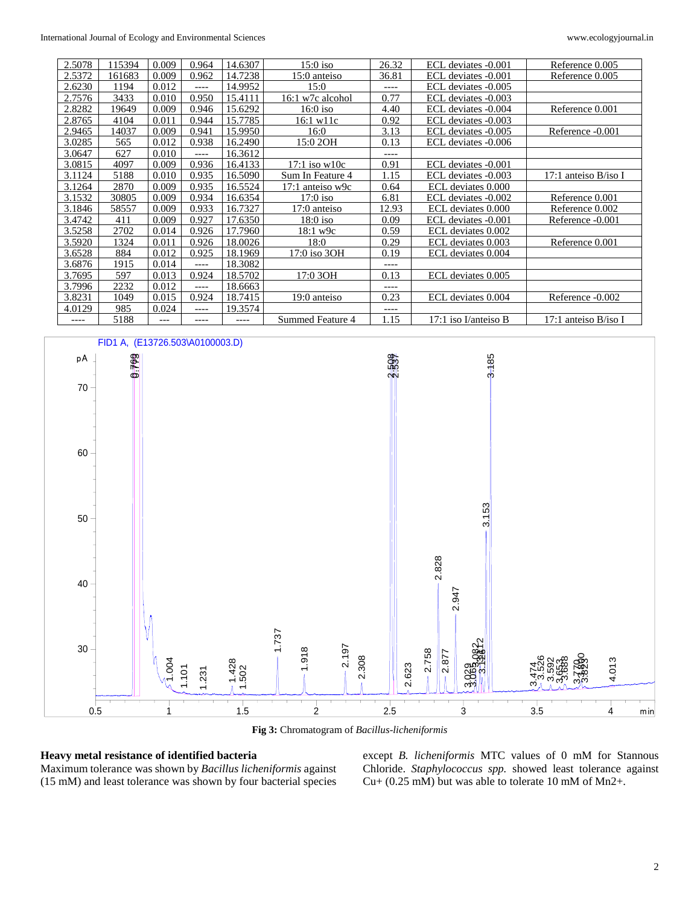| 2.5078 | 115394 | 0.009 | 0.964 | 14.6307 | $15:0$ iso         | 26.32   | ECL deviates -0.001    | Reference 0.005        |
|--------|--------|-------|-------|---------|--------------------|---------|------------------------|------------------------|
| 2.5372 | 161683 | 0.009 | 0.962 | 14.7238 | 15:0 anteiso       | 36.81   | ECL deviates -0.001    | Reference 0.005        |
| 2.6230 | 1194   | 0.012 | $---$ | 14.9952 | 15:0               | ----    | ECL deviates -0.005    |                        |
| 2.7576 | 3433   | 0.010 | 0.950 | 15.4111 | 16:1 w7c alcohol   | 0.77    | ECL deviates -0.003    |                        |
| 2.8282 | 19649  | 0.009 | 0.946 | 15.6292 | $16:0$ iso         | 4.40    | ECL deviates -0.004    | Reference 0.001        |
| 2.8765 | 4104   | 0.011 | 0.944 | 15.7785 | 16:1 w11c          | 0.92    | ECL deviates -0.003    |                        |
| 2.9465 | 14037  | 0.009 | 0.941 | 15.9950 | 16:0               | 3.13    | ECL deviates -0.005    | Reference -0.001       |
| 3.0285 | 565    | 0.012 | 0.938 | 16.2490 | 15:0 2OH           | 0.13    | ECL deviates -0.006    |                        |
| 3.0647 | 627    | 0.010 | ----  | 16.3612 |                    | ----    |                        |                        |
| 3.0815 | 4097   | 0.009 | 0.936 | 16.4133 | $17:1$ iso w $10c$ | 0.91    | ECL deviates -0.001    |                        |
| 3.1124 | 5188   | 0.010 | 0.935 | 16.5090 | Sum In Feature 4   | 1.15    | ECL deviates -0.003    | 17:1 anteiso $B/iso I$ |
| 3.1264 | 2870   | 0.009 | 0.935 | 16.5524 | 17:1 anteiso w9c   | 0.64    | ECL deviates 0.000     |                        |
| 3.1532 | 30805  | 0.009 | 0.934 | 16.6354 | $17:0$ iso         | 6.81    | ECL deviates -0.002    | Reference 0.001        |
| 3.1846 | 58557  | 0.009 | 0.933 | 16.7327 | 17:0 anteiso       | 12.93   | ECL deviates 0.000     | Reference 0.002        |
| 3.4742 | 411    | 0.009 | 0.927 | 17.6350 | $18:0$ iso         | 0.09    | ECL deviates -0.001    | Reference -0.001       |
| 3.5258 | 2702   | 0.014 | 0.926 | 17.7960 | 18:1 w9c           | 0.59    | ECL deviates 0.002     |                        |
| 3.5920 | 1324   | 0.011 | 0.926 | 18.0026 | 18:0               | 0.29    | ECL deviates 0.003     | Reference 0.001        |
| 3.6528 | 884    | 0.012 | 0.925 | 18.1969 | 17:0 iso 3OH       | 0.19    | ECL deviates 0.004     |                        |
| 3.6876 | 1915   | 0.014 | ----  | 18.3082 |                    | ----    |                        |                        |
| 3.7695 | 597    | 0.013 | 0.924 | 18.5702 | 17:0 3OH           | 0.13    | ECL deviates 0.005     |                        |
| 3.7996 | 2232   | 0.012 | ----  | 18.6663 |                    | ----    |                        |                        |
| 3.8231 | 1049   | 0.015 | 0.924 | 18.7415 | 19:0 anteiso       | 0.23    | ECL deviates 0.004     | Reference -0.002       |
| 4.0129 | 985    | 0.024 | ----  | 19.3574 |                    | $--- -$ |                        |                        |
| ----   | 5188   | ---   | ----  | ----    | Summed Feature 4   | 1.15    | $17:1$ iso I/anteiso B | 17:1 anteiso $B/iso I$ |



**Fig 3:** Chromatogram of *Bacillus-licheniformis*

# **Heavy metal resistance of identified bacteria**

Maximum tolerance was shown by *Bacillus licheniformis* against (15 mM) and least tolerance was shown by four bacterial species except *B. licheniformis* MTC values of 0 mM for Stannous Chloride. *Staphylococcus spp.* showed least tolerance against Cu+ (0.25 mM) but was able to tolerate 10 mM of Mn2+.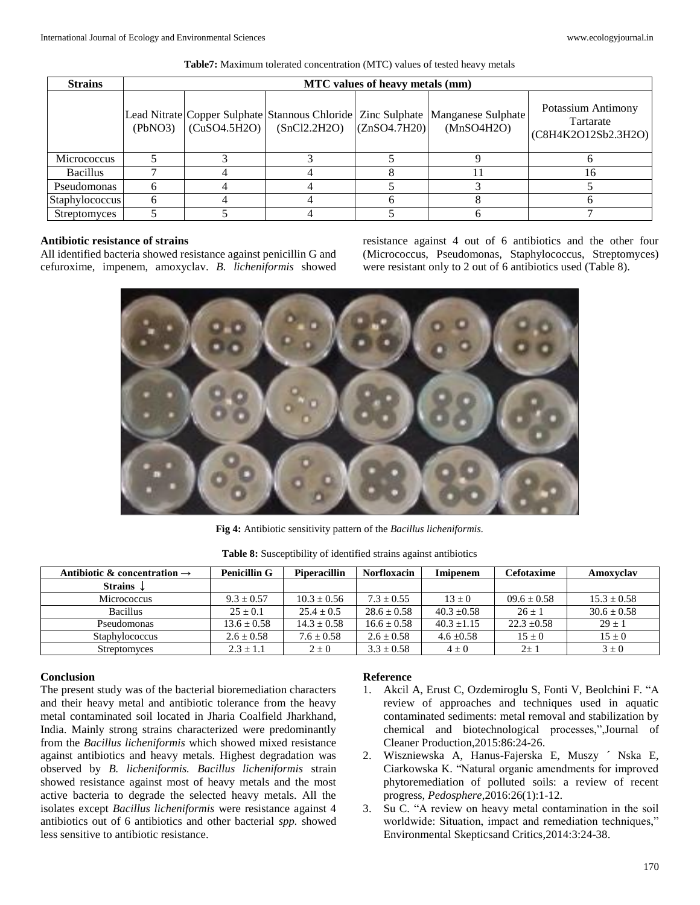| <b>Strains</b>        |         | <b>MTC</b> values of heavy metals (mm) |                                           |              |                                                                                               |                                                        |  |  |  |  |
|-----------------------|---------|----------------------------------------|-------------------------------------------|--------------|-----------------------------------------------------------------------------------------------|--------------------------------------------------------|--|--|--|--|
|                       | (PbNO3) |                                        | $\vert$ (CuSO4.5H2O) $\vert$ (SnCl2.2H2O) | (ZnSO4.7H20) | Lead Nitrate Copper Sulphate Stannous Chloride Zinc Sulphate Manganese Sulphate<br>(MnSO4H2O) | Potassium Antimony<br>Tartarate<br>(C8H4K2O12Sb2.3H2O) |  |  |  |  |
| Micrococcus           |         |                                        |                                           |              |                                                                                               |                                                        |  |  |  |  |
| <b>Bacillus</b>       |         |                                        |                                           |              |                                                                                               |                                                        |  |  |  |  |
| Pseudomonas           |         |                                        |                                           |              |                                                                                               |                                                        |  |  |  |  |
| <b>Staphylococcus</b> |         |                                        |                                           |              |                                                                                               |                                                        |  |  |  |  |
| <b>Streptomyces</b>   |         |                                        |                                           |              |                                                                                               |                                                        |  |  |  |  |

**Table7:** Maximum tolerated concentration (MTC) values of tested heavy metals

# **Antibiotic resistance of strains**

All identified bacteria showed resistance against penicillin G and cefuroxime, impenem, amoxyclav. *B. licheniformis* showed resistance against 4 out of 6 antibiotics and the other four (Micrococcus, Pseudomonas, Staphylococcus, Streptomyces) were resistant only to 2 out of 6 antibiotics used (Table 8).



**Fig 4:** Antibiotic sensitivity pattern of the *Bacillus licheniformis.*

| Antibiotic & concentration $\rightarrow$ | <b>Penicillin G</b> | <b>Piperacillin</b> | <b>Norfloxacin</b> | Imipenem      | Cefotaxime      | Amoxvclav       |
|------------------------------------------|---------------------|---------------------|--------------------|---------------|-----------------|-----------------|
| Strains $\downarrow$                     |                     |                     |                    |               |                 |                 |
| Micrococcus                              | $9.3 + 0.57$        | $10.3 + 0.56$       | $7.3 + 0.55$       | $13 + 0$      | $09.6 + 0.58$   | $15.3 + 0.58$   |
| <b>Bacillus</b>                          | $25 + 0.1$          | $25.4 + 0.5$        | $28.6 + 0.58$      | $40.3 + 0.58$ | $26 + 1$        | $30.6 \pm 0.58$ |
| Pseudomonas                              | $13.6 \pm 0.58$     | $14.3 \pm 0.58$     | $16.6 \pm 0.58$    | $40.3 + 1.15$ | $22.3 \pm 0.58$ | $29 + 1$        |
| <b>Staphylococcus</b>                    | $2.6 \pm 0.58$      | $7.6 \pm 0.58$      | $2.6 \pm 0.58$     | $4.6 + 0.58$  | $15 \pm 0$      | $15 \pm 0$      |
| <b>Streptomyces</b>                      | $2.3 + 1.1$         | $2 \pm 0$           | $3.3 \pm 0.58$     | $4 + 0$       | $2+1$           | $3 + 0$         |

**Table 8:** Susceptibility of identified strains against antibiotics

# **Conclusion**

The present study was of the bacterial bioremediation characters and their heavy metal and antibiotic tolerance from the heavy metal contaminated soil located in Jharia Coalfield Jharkhand, India. Mainly strong strains characterized were predominantly from the *Bacillus licheniformis* which showed mixed resistance against antibiotics and heavy metals. Highest degradation was observed by *B. licheniformis. Bacillus licheniformis* strain showed resistance against most of heavy metals and the most active bacteria to degrade the selected heavy metals. All the isolates except *Bacillus licheniformis* were resistance against 4 antibiotics out of 6 antibiotics and other bacterial *spp.* showed less sensitive to antibiotic resistance.

## **Reference**

- 1. Akcil A, Erust C, Ozdemiroglu S, Fonti V, Beolchini F. "A review of approaches and techniques used in aquatic contaminated sediments: metal removal and stabilization by chemical and biotechnological processes,",Journal of Cleaner Production,2015:86:24-26.
- 2. Wiszniewska A, Hanus-Fajerska E, Muszy ´ Nska E, Ciarkowska K. "Natural organic amendments for improved phytoremediation of polluted soils: a review of recent progress, *Pedosphere*,2016:26(1):1-12.
- 3. Su C. "A review on heavy metal contamination in the soil worldwide: Situation, impact and remediation techniques," Environmental Skepticsand Critics,2014:3:24-38.